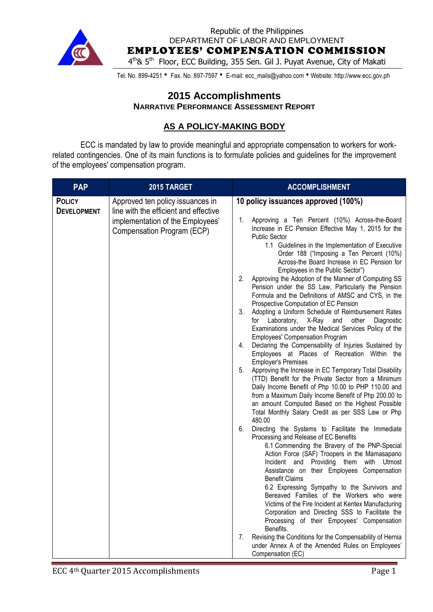

Republic of the Philippines DEPARTMENT OF LABOR AND EMPLOYMENT

EMPLOYEES' COMPENSATION COMMISSION

4<sup>th</sup>& 5<sup>th</sup> Floor, ECC Building, 355 Sen. Gil J. Puyat Avenue, City of Makati

Tel. No. 899-4251 • Fax. No. 897-7597 • E-mail: ecc\_mails@yahoo.com • Website: http://www.ecc.gov.ph

#### **2015 Accomplishments NARRATIVE PERFORMANCE ASSESSMENT REPORT**

### **AS A POLICY-MAKING BODY**

ECC is mandated by law to provide meaningful and appropriate compensation to workers for workrelated contingencies. One of its main functions is to formulate policies and guidelines for the improvement of the employees' compensation program.

| <b>PAP</b>                          | 2015 TARGET                                                                                                                                 | <b>ACCOMPLISHMENT</b>                                                                                                                                                                                                                                                                                                                                                                                                                                                                                                                                                                                                                                                                                                                                                                                                                                                                                                                                                                                                                                                                                                                                                                                                                                                                                                                                                                                                                                                                                                                                                                                                                                                                                                                                                                                                                                                                                                                                                                                                                                     |
|-------------------------------------|---------------------------------------------------------------------------------------------------------------------------------------------|-----------------------------------------------------------------------------------------------------------------------------------------------------------------------------------------------------------------------------------------------------------------------------------------------------------------------------------------------------------------------------------------------------------------------------------------------------------------------------------------------------------------------------------------------------------------------------------------------------------------------------------------------------------------------------------------------------------------------------------------------------------------------------------------------------------------------------------------------------------------------------------------------------------------------------------------------------------------------------------------------------------------------------------------------------------------------------------------------------------------------------------------------------------------------------------------------------------------------------------------------------------------------------------------------------------------------------------------------------------------------------------------------------------------------------------------------------------------------------------------------------------------------------------------------------------------------------------------------------------------------------------------------------------------------------------------------------------------------------------------------------------------------------------------------------------------------------------------------------------------------------------------------------------------------------------------------------------------------------------------------------------------------------------------------------------|
| <b>POLICY</b><br><b>DEVELOPMENT</b> | Approved ten policy issuances in<br>line with the efficient and effective<br>implementation of the Employees'<br>Compensation Program (ECP) | 10 policy issuances approved (100%)<br>Approving a Ten Percent (10%) Across-the-Board<br>1.<br>Increase in EC Pension Effective May 1, 2015 for the<br><b>Public Sector</b><br>1.1 Guidelines in the Implementation of Executive<br>Order 188 ("Imposing a Ten Percent (10%)<br>Across-the Board Increase in EC Pension for<br>Employees in the Public Sector")<br>2.<br>Approving the Adoption of the Manner of Computing SS<br>Pension under the SS Law, Particularly the Pension<br>Formula and the Definitions of AMSC and CYS, in the<br>Prospective Computation of EC Pension<br>3.<br>Adopting a Uniform Schedule of Reimbursement Rates<br>Laboratory,<br>X-Ray and<br>other<br>Diagnostic<br>for<br>Examinations under the Medical Services Policy of the<br><b>Employees' Compensation Program</b><br>Declaring the Compensability of Injuries Sustained by<br>4.<br>Employees at Places of Recreation Within the<br><b>Employer's Premises</b><br>5.<br>Approving the Increase in EC Temporary Total Disability<br>(TTD) Benefit for the Private Sector from a Minimum<br>Daily Income Benefit of Php 10.00 to PHP 110.00 and<br>from a Maximum Daily Income Benefit of Php 200.00 to<br>an amount Computed Based on the Highest Possible<br>Total Monthly Salary Credit as per SSS Law or Php<br>480.00<br>Directing the Systems to Facilitate the Immediate<br>6.<br>Processing and Release of EC Benefits<br>6.1 Commending the Bravery of the PNP-Special<br>Action Force (SAF) Troopers in the Mamasapano<br>Incident and Providing them with Utmost<br>Assistance on their Employees Compensation<br><b>Benefit Claims</b><br>6.2 Expressing Sympathy to the Survivors and<br>Bereaved Families of the Workers who were<br>Victims of the Fire Incident at Kentex Manufacturing<br>Corporation and Directing SSS to Facilitate the<br>Processing of their Empoyees' Compensation<br>Benefits.<br>Revising the Conditions for the Compensability of Hernia<br>7.<br>under Annex A of the Amended Rules on Employees'<br>Compensation (EC) |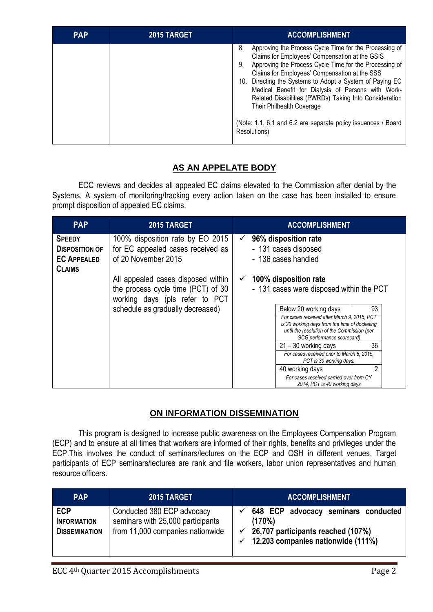| <b>PAP</b> | 2015 TARGET | <b>ACCOMPLISHMENT</b>                                                                                                                                                                                                                                                                                                                                                                                                                                                                                                     |
|------------|-------------|---------------------------------------------------------------------------------------------------------------------------------------------------------------------------------------------------------------------------------------------------------------------------------------------------------------------------------------------------------------------------------------------------------------------------------------------------------------------------------------------------------------------------|
|            |             | 8.<br>Approving the Process Cycle Time for the Processing of<br>Claims for Employees' Compensation at the GSIS<br>Approving the Process Cycle Time for the Processing of<br>9.<br>Claims for Employees' Compensation at the SSS<br>10. Directing the Systems to Adopt a System of Paying EC<br>Medical Benefit for Dialysis of Persons with Work-<br>Related Disabilities (PWRDs) Taking Into Consideration<br>Their Philhealth Coverage<br>(Note: 1.1, 6.1 and 6.2 are separate policy issuances / Board<br>Resolutions) |

# **AS AN APPELATE BODY**

ECC reviews and decides all appealed EC claims elevated to the Commission after denial by the Systems. A system of monitoring/tracking every action taken on the case has been installed to ensure prompt disposition of appealed EC claims.

| <b>PAP</b>                                                                    | 2015 TARGET                                                                                                |                                                                                                              | <b>ACCOMPLISHMENT</b>                                                                                                                                                                              |                                          |  |
|-------------------------------------------------------------------------------|------------------------------------------------------------------------------------------------------------|--------------------------------------------------------------------------------------------------------------|----------------------------------------------------------------------------------------------------------------------------------------------------------------------------------------------------|------------------------------------------|--|
| <b>SPEEDY</b><br><b>DISPOSITION OF</b><br><b>EC APPEALED</b><br><b>CLAIMS</b> | 100% disposition rate by EO 2015<br>for EC appealed cases received as<br>of 20 November 2015               | 96% disposition rate<br>$\checkmark$<br>- 131 cases disposed<br>- 136 cases handled<br>100% disposition rate |                                                                                                                                                                                                    |                                          |  |
|                                                                               | All appealed cases disposed within<br>the process cycle time (PCT) of 30<br>working days (pls refer to PCT |                                                                                                              |                                                                                                                                                                                                    | - 131 cases were disposed within the PCT |  |
|                                                                               | schedule as gradually decreased)                                                                           |                                                                                                              | Below 20 working days<br>For cases received after March 9, 2015, PCT<br>is 20 working days from the time of docketing<br>until the resolution of the Commission (per<br>GCG performance scorecard) | 93                                       |  |
|                                                                               |                                                                                                            |                                                                                                              | 21 - 30 working days<br>For cases received prior to March 6, 2015,<br>PCT is 30 working days.                                                                                                      | 36                                       |  |
|                                                                               |                                                                                                            |                                                                                                              | 40 working days<br>For cases received carried over from CY<br>2014, PCT is 40 working days                                                                                                         | 2                                        |  |

## **ON INFORMATION DISSEMINATION**

This program is designed to increase public awareness on the Employees Compensation Program (ECP) and to ensure at all times that workers are informed of their rights, benefits and privileges under the ECP.This involves the conduct of seminars/lectures on the ECP and OSH in different venues. Target participants of ECP seminars/lectures are rank and file workers, labor union representatives and human resource officers.

| <b>PAP</b>                                               | 2015 TARGET                                                                                         | <b>ACCOMPLISHMENT</b>                                                                                                                               |
|----------------------------------------------------------|-----------------------------------------------------------------------------------------------------|-----------------------------------------------------------------------------------------------------------------------------------------------------|
| <b>ECP</b><br><b>INFORMATION</b><br><b>DISSEMINATION</b> | Conducted 380 ECP advocacy<br>seminars with 25,000 participants<br>from 11,000 companies nationwide | 648 ECP advocacy seminars conducted<br>(170%)<br>$\checkmark$ 26,707 participants reached (107%)<br>$\checkmark$ 12,203 companies nationwide (111%) |